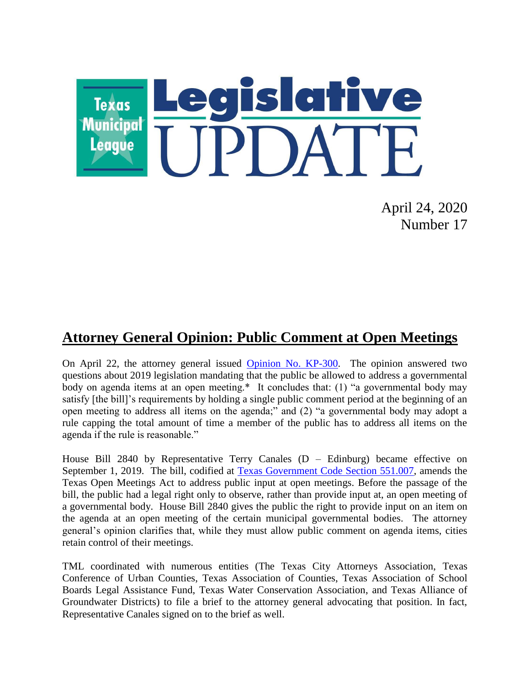

April 24, 2020 Number 17

## **Attorney General Opinion: Public Comment at Open Meetings**

On April 22, the attorney general issued Opinion [No. KP-300.](https://www.texasattorneygeneral.gov/sites/default/files/opinion-files/opinion/2020/kp-0300.pdf) The opinion answered two questions about 2019 legislation mandating that the public be allowed to address a governmental body on agenda items at an open meeting.\* It concludes that: (1) "a governmental body may satisfy [the bill]'s requirements by holding a single public comment period at the beginning of an open meeting to address all items on the agenda;" and (2) "a governmental body may adopt a rule capping the total amount of time a member of the public has to address all items on the agenda if the rule is reasonable."

House Bill 2840 by Representative Terry Canales  $(D - Edinburg)$  became effective on September 1, 2019. The bill, codified at [Texas Government Code Section 551.007,](https://statutes.capitol.texas.gov/Docs/GV/htm/GV.551.htm#551.007) amends the Texas Open Meetings Act to address public input at open meetings. Before the passage of the bill, the public had a legal right only to observe, rather than provide input at, an open meeting of a governmental body. House Bill 2840 gives the public the right to provide input on an item on the agenda at an open meeting of the certain municipal governmental bodies. The attorney general's opinion clarifies that, while they must allow public comment on agenda items, cities retain control of their meetings.

TML coordinated with numerous entities (The Texas City Attorneys Association, Texas Conference of Urban Counties, Texas Association of Counties, Texas Association of School Boards Legal Assistance Fund, Texas Water Conservation Association, and Texas Alliance of Groundwater Districts) to file a brief to the attorney general advocating that position. In fact, Representative Canales signed on to the brief as well.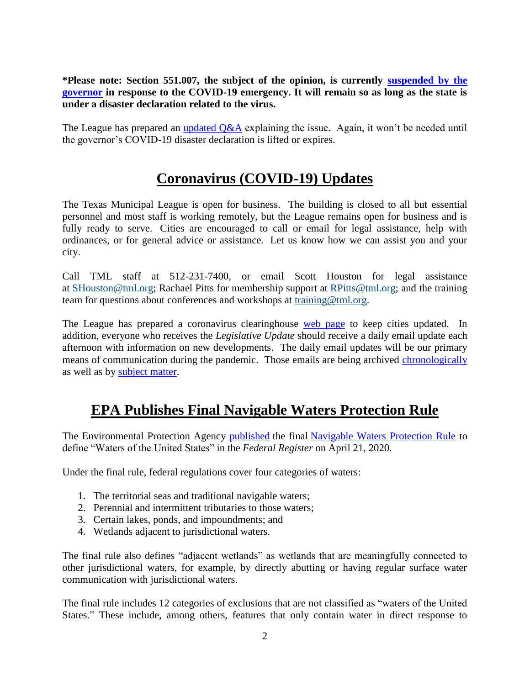#### **\*Please note: Section 551.007, the subject of the opinion, is currently [suspended by the](https://www.texasattorneygeneral.gov/sites/default/files/images/admin/2020/Press/Open%20Meeting%20Laws%20Subject%20to%20Temporary%20Suspension.pdf)  [governor](https://www.texasattorneygeneral.gov/sites/default/files/images/admin/2020/Press/Open%20Meeting%20Laws%20Subject%20to%20Temporary%20Suspension.pdf) in response to the COVID-19 emergency. It will remain so as long as the state is under a disaster declaration related to the virus.**

The League has prepared an [updated Q&A](https://www.tml.org/DocumentCenter/View/1733/HB-2840-Public-Comment-on-Agenda-Items_Updated-42320) explaining the issue. Again, it won't be needed until the governor's COVID-19 disaster declaration is lifted or expires.

### **Coronavirus (COVID-19) Updates**

The Texas Municipal League is open for business. The building is closed to all but essential personnel and most staff is working remotely, but the League remains open for business and is fully ready to serve. Cities are encouraged to call or email for legal assistance, help with ordinances, or for general advice or assistance. Let us know how we can assist you and your city.

Call TML staff at 512-231-7400, or email Scott Houston for legal assistance at [SHouston@tml.org;](mailto:SHouston@tml.org) Rachael Pitts for membership support at [RPitts@tml.org;](mailto:RPitts@tml.org) and the training team for questions about conferences and workshops at [training@tml.org.](mailto:training@tml.org)

The League has prepared a coronavirus clearinghouse [web page](https://www.tml.org/654/Coronavirus-COVID-19-Resources) to keep cities updated. In addition, everyone who receives the *Legislative Update* should receive a daily email update each afternoon with information on new developments. The daily email updates will be our primary means of communication during the pandemic. Those emails are being archived [chronologically](https://www.tml.org/Blog.aspx?CID=2) as well as by [subject matter.](https://www.tml.org/659/TML-Coronavirus-Updates-listed-by-subjec)

# **EPA Publishes Final Navigable Waters Protection Rule**

The Environmental Protection Agency [published](https://www.federalregister.gov/documents/2020/04/21/2020-02500/the-navigable-waters-protection-rule-definition-of-waters-of-the-united-states) the final [Navigable Waters Protection Rule](https://www.epa.gov/nwpr/navigable-waters-protection-rule-step-two-revise) to define "Waters of the United States" in the *Federal Register* on April 21, 2020.

Under the final rule, federal regulations cover four categories of waters:

- 1. The territorial seas and traditional navigable waters;
- 2. Perennial and intermittent tributaries to those waters;
- 3. Certain lakes, ponds, and impoundments; and
- 4. Wetlands adjacent to jurisdictional waters.

The final rule also defines "adjacent wetlands" as wetlands that are meaningfully connected to other jurisdictional waters, for example, by directly abutting or having regular surface water communication with jurisdictional waters.

The final rule includes 12 categories of exclusions that are not classified as "waters of the United States." These include, among others, features that only contain water in direct response to